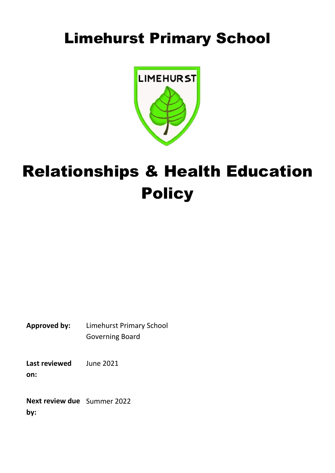# Limehurst Primary School



# Relationships & Health Education Policy

**Approved by:** Limehurst Primary School Governing Board

**Last reviewed on:** June 2021

**Next review due**  Summer 2022**by:**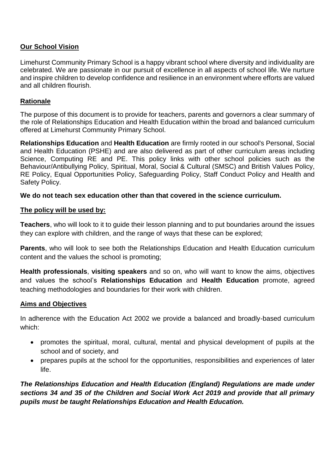#### **Our School Vision**

Limehurst Community Primary School is a happy vibrant school where diversity and individuality are celebrated. We are passionate in our pursuit of excellence in all aspects of school life. We nurture and inspire children to develop confidence and resilience in an environment where efforts are valued and all children flourish.

#### **Rationale**

The purpose of this document is to provide for teachers, parents and governors a clear summary of the role of Relationships Education and Health Education within the broad and balanced curriculum offered at Limehurst Community Primary School.

**Relationships Education** and **Health Education** are firmly rooted in our school's Personal, Social and Health Education (PSHE) and are also delivered as part of other curriculum areas including Science, Computing RE and PE. This policy links with other school policies such as the Behaviour/Antibullying Policy, Spiritual, Moral, Social & Cultural (SMSC) and British Values Policy, RE Policy, Equal Opportunities Policy, Safeguarding Policy, Staff Conduct Policy and Health and Safety Policy.

#### **We do not teach sex education other than that covered in the science curriculum.**

#### **The policy will be used by:**

**Teachers**, who will look to it to guide their lesson planning and to put boundaries around the issues they can explore with children, and the range of ways that these can be explored;

**Parents**, who will look to see both the Relationships Education and Health Education curriculum content and the values the school is promoting;

**Health professionals**, **visiting speakers** and so on, who will want to know the aims, objectives and values the school's **Relationships Education** and **Health Education** promote, agreed teaching methodologies and boundaries for their work with children.

#### **Aims and Objectives**

In adherence with the Education Act 2002 we provide a balanced and broadly-based curriculum which:

- promotes the spiritual, moral, cultural, mental and physical development of pupils at the school and of society, and
- prepares pupils at the school for the opportunities, responsibilities and experiences of later life.

*The Relationships Education and Health Education (England) Regulations are made under sections 34 and 35 of the Children and Social Work Act 2019 and provide that all primary pupils must be taught Relationships Education and Health Education.*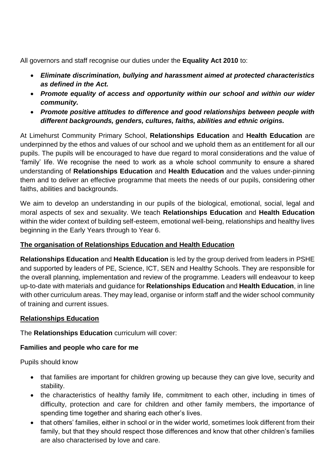All governors and staff recognise our duties under the **Equality Act 2010** to:

- *Eliminate discrimination, bullying and harassment aimed at protected characteristics as defined in the Act.*
- *Promote equality of access and opportunity within our school and within our wider community.*
- *Promote positive attitudes to difference and good relationships between people with different backgrounds, genders, cultures, faiths, abilities and ethnic origins.*

At Limehurst Community Primary School, **Relationships Education** and **Health Education** are underpinned by the ethos and values of our school and we uphold them as an entitlement for all our pupils. The pupils will be encouraged to have due regard to moral considerations and the value of 'family' life. We recognise the need to work as a whole school community to ensure a shared understanding of **Relationships Education** and **Health Education** and the values under-pinning them and to deliver an effective programme that meets the needs of our pupils, considering other faiths, abilities and backgrounds.

We aim to develop an understanding in our pupils of the biological, emotional, social, legal and moral aspects of sex and sexuality. We teach **Relationships Education** and **Health Education** within the wider context of building self-esteem, emotional well-being, relationships and healthy lives beginning in the Early Years through to Year 6.

# **The organisation of Relationships Education and Health Education**

**Relationships Education** and **Health Education** is led by the group derived from leaders in PSHE and supported by leaders of PE, Science, ICT, SEN and Healthy Schools. They are responsible for the overall planning, implementation and review of the programme. Leaders will endeavour to keep up-to-date with materials and guidance for **Relationships Education** and **Health Education**, in line with other curriculum areas. They may lead, organise or inform staff and the wider school community of training and current issues.

#### **Relationships Education**

The **Relationships Education** curriculum will cover:

#### **Families and people who care for me**

- that families are important for children growing up because they can give love, security and stability.
- the characteristics of healthy family life, commitment to each other, including in times of difficulty, protection and care for children and other family members, the importance of spending time together and sharing each other's lives.
- that others' families, either in school or in the wider world, sometimes look different from their family, but that they should respect those differences and know that other children's families are also characterised by love and care.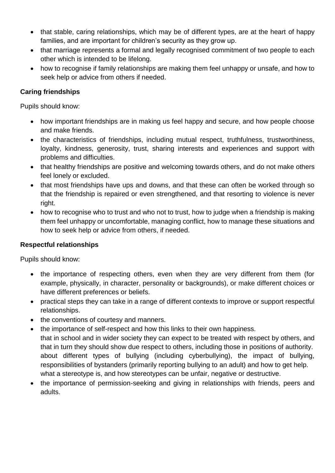- that stable, caring relationships, which may be of different types, are at the heart of happy families, and are important for children's security as they grow up.
- that marriage represents a formal and legally recognised commitment of two people to each other which is intended to be lifelong.
- how to recognise if family relationships are making them feel unhappy or unsafe, and how to seek help or advice from others if needed.

# **Caring friendships**

Pupils should know:

- how important friendships are in making us feel happy and secure, and how people choose and make friends.
- the characteristics of friendships, including mutual respect, truthfulness, trustworthiness, loyalty, kindness, generosity, trust, sharing interests and experiences and support with problems and difficulties.
- that healthy friendships are positive and welcoming towards others, and do not make others feel lonely or excluded.
- that most friendships have ups and downs, and that these can often be worked through so that the friendship is repaired or even strengthened, and that resorting to violence is never right.
- how to recognise who to trust and who not to trust, how to judge when a friendship is making them feel unhappy or uncomfortable, managing conflict, how to manage these situations and how to seek help or advice from others, if needed.

# **Respectful relationships**

- the importance of respecting others, even when they are very different from them (for example, physically, in character, personality or backgrounds), or make different choices or have different preferences or beliefs.
- practical steps they can take in a range of different contexts to improve or support respectful relationships.
- the conventions of courtesy and manners.
- the importance of self-respect and how this links to their own happiness.
- that in school and in wider society they can expect to be treated with respect by others, and that in turn they should show due respect to others, including those in positions of authority. about different types of bullying (including cyberbullying), the impact of bullying, responsibilities of bystanders (primarily reporting bullying to an adult) and how to get help. what a stereotype is, and how stereotypes can be unfair, negative or destructive.
- the importance of permission-seeking and giving in relationships with friends, peers and adults.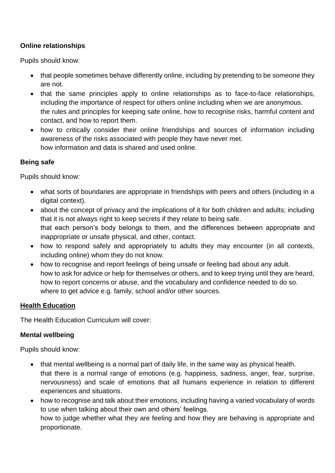# **Online relationships**

Pupils should know:

- that people sometimes behave differently online, including by pretending to be someone they are not.
- that the same principles apply to online relationships as to face-to-face relationships, including the importance of respect for others online including when we are anonymous. the rules and principles for keeping safe online, how to recognise risks, harmful content and contact, and how to report them.
- how to critically consider their online friendships and sources of information including awareness of the risks associated with people they have never met. how information and data is shared and used online.

# **Being safe**

Pupils should know:

- what sorts of boundaries are appropriate in friendships with peers and others (including in a digital context).
- about the concept of privacy and the implications of it for both children and adults; including that it is not always right to keep secrets if they relate to being safe. that each person's body belongs to them, and the differences between appropriate and inappropriate or unsafe physical, and other, contact.
- how to respond safely and appropriately to adults they may encounter (in all contexts, including online) whom they do not know.
- how to recognise and report feelings of being unsafe or feeling bad about any adult. how to ask for advice or help for themselves or others, and to keep trying until they are heard, how to report concerns or abuse, and the vocabulary and confidence needed to do so. where to get advice e.g. family, school and/or other sources.

# **Health Education**

The Health Education Curriculum will cover:

#### **Mental wellbeing**

- that mental wellbeing is a normal part of daily life, in the same way as physical health. that there is a normal range of emotions (e.g. happiness, sadness, anger, fear, surprise, nervousness) and scale of emotions that all humans experience in relation to different experiences and situations.
- how to recognise and talk about their emotions, including having a varied vocabulary of words to use when talking about their own and others' feelings. how to judge whether what they are feeling and how they are behaving is appropriate and proportionate.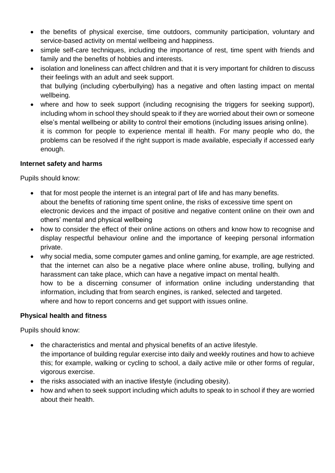- the benefits of physical exercise, time outdoors, community participation, voluntary and service-based activity on mental wellbeing and happiness.
- simple self-care techniques, including the importance of rest, time spent with friends and family and the benefits of hobbies and interests.
- isolation and loneliness can affect children and that it is very important for children to discuss their feelings with an adult and seek support. that bullying (including cyberbullying) has a negative and often lasting impact on mental wellbeing.
- where and how to seek support (including recognising the triggers for seeking support), including whom in school they should speak to if they are worried about their own or someone else's mental wellbeing or ability to control their emotions (including issues arising online). it is common for people to experience mental ill health. For many people who do, the problems can be resolved if the right support is made available, especially if accessed early enough.

# **Internet safety and harms**

Pupils should know:

- that for most people the internet is an integral part of life and has many benefits. about the benefits of rationing time spent online, the risks of excessive time spent on electronic devices and the impact of positive and negative content online on their own and others' mental and physical wellbeing
- how to consider the effect of their online actions on others and know how to recognise and display respectful behaviour online and the importance of keeping personal information private.
- why social media, some computer games and online gaming, for example, are age restricted. that the internet can also be a negative place where online abuse, trolling, bullying and harassment can take place, which can have a negative impact on mental health. how to be a discerning consumer of information online including understanding that information, including that from search engines, is ranked, selected and targeted. where and how to report concerns and get support with issues online.

# **Physical health and fitness**

- the characteristics and mental and physical benefits of an active lifestyle. the importance of building regular exercise into daily and weekly routines and how to achieve this; for example, walking or cycling to school, a daily active mile or other forms of regular, vigorous exercise.
- the risks associated with an inactive lifestyle (including obesity).
- how and when to seek support including which adults to speak to in school if they are worried about their health.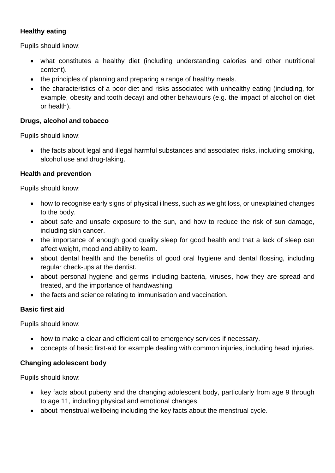# **Healthy eating**

Pupils should know:

- what constitutes a healthy diet (including understanding calories and other nutritional content).
- the principles of planning and preparing a range of healthy meals.
- the characteristics of a poor diet and risks associated with unhealthy eating (including, for example, obesity and tooth decay) and other behaviours (e.g. the impact of alcohol on diet or health).

# **Drugs, alcohol and tobacco**

Pupils should know:

 the facts about legal and illegal harmful substances and associated risks, including smoking, alcohol use and drug-taking.

# **Health and prevention**

Pupils should know:

- how to recognise early signs of physical illness, such as weight loss, or unexplained changes to the body.
- about safe and unsafe exposure to the sun, and how to reduce the risk of sun damage, including skin cancer.
- the importance of enough good quality sleep for good health and that a lack of sleep can affect weight, mood and ability to learn.
- about dental health and the benefits of good oral hygiene and dental flossing, including regular check-ups at the dentist.
- about personal hygiene and germs including bacteria, viruses, how they are spread and treated, and the importance of handwashing.
- the facts and science relating to immunisation and vaccination.

# **Basic first aid**

Pupils should know:

- how to make a clear and efficient call to emergency services if necessary.
- concepts of basic first-aid for example dealing with common injuries, including head injuries.

# **Changing adolescent body**

- key facts about puberty and the changing adolescent body, particularly from age 9 through to age 11, including physical and emotional changes.
- about menstrual wellbeing including the key facts about the menstrual cycle.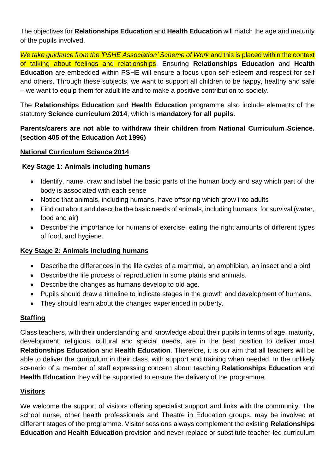The objectives for **Relationships Education** and **Health Education** will match the age and maturity of the pupils involved.

*We take guidance from the 'PSHE Association' Scheme of Work* and this is placed within the context of talking about feelings and relationships. Ensuring **Relationships Education** and **Health Education** are embedded within PSHE will ensure a focus upon self-esteem and respect for self and others. Through these subjects, we want to support all children to be happy, healthy and safe – we want to equip them for adult life and to make a positive contribution to society.

The **Relationships Education** and **Health Education** programme also include elements of the statutory **Science curriculum 2014**, which is **mandatory for all pupils**.

# **Parents/carers are not able to withdraw their children from National Curriculum Science. (section 405 of the Education Act 1996)**

#### **National Curriculum Science 2014**

#### **Key Stage 1: Animals including humans**

- Identify, name, draw and label the basic parts of the human body and say which part of the body is associated with each sense
- Notice that animals, including humans, have offspring which grow into adults
- Find out about and describe the basic needs of animals, including humans, for survival (water, food and air)
- Describe the importance for humans of exercise, eating the right amounts of different types of food, and hygiene.

#### **Key Stage 2: Animals including humans**

- Describe the differences in the life cycles of a mammal, an amphibian, an insect and a bird
- Describe the life process of reproduction in some plants and animals.
- Describe the changes as humans develop to old age.
- Pupils should draw a timeline to indicate stages in the growth and development of humans.
- They should learn about the changes experienced in puberty.

#### **Staffing**

Class teachers, with their understanding and knowledge about their pupils in terms of age, maturity, development, religious, cultural and special needs, are in the best position to deliver most **Relationships Education** and **Health Education**. Therefore, it is our aim that all teachers will be able to deliver the curriculum in their class, with support and training when needed. In the unlikely scenario of a member of staff expressing concern about teaching **Relationships Education** and **Health Education** they will be supported to ensure the delivery of the programme.

#### **Visitors**

We welcome the support of visitors offering specialist support and links with the community. The school nurse, other health professionals and Theatre in Education groups, may be involved at different stages of the programme. Visitor sessions always complement the existing **Relationships Education** and **Health Education** provision and never replace or substitute teacher-led curriculum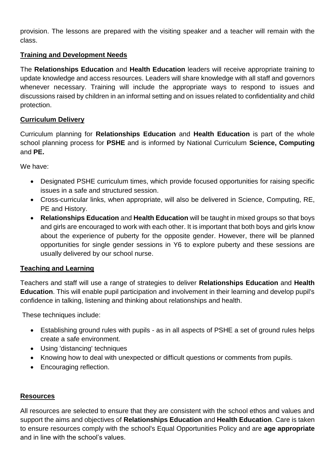provision. The lessons are prepared with the visiting speaker and a teacher will remain with the class.

#### **Training and Development Needs**

The **Relationships Education** and **Health Education** leaders will receive appropriate training to update knowledge and access resources. Leaders will share knowledge with all staff and governors whenever necessary. Training will include the appropriate ways to respond to issues and discussions raised by children in an informal setting and on issues related to confidentiality and child protection.

# **Curriculum Delivery**

Curriculum planning for **Relationships Education** and **Health Education** is part of the whole school planning process for **PSHE** and is informed by National Curriculum **Science, Computing** and **PE.**

We have:

- Designated PSHE curriculum times, which provide focused opportunities for raising specific issues in a safe and structured session.
- Cross-curricular links, when appropriate, will also be delivered in Science, Computing, RE, PE and History.
- **Relationships Education** and **Health Education** will be taught in mixed groups so that boys and girls are encouraged to work with each other. It is important that both boys and girls know about the experience of puberty for the opposite gender. However, there will be planned opportunities for single gender sessions in Y6 to explore puberty and these sessions are usually delivered by our school nurse.

# **Teaching and Learning**

Teachers and staff will use a range of strategies to deliver **Relationships Education** and **Health Education**. This will enable pupil participation and involvement in their learning and develop pupil's confidence in talking, listening and thinking about relationships and health.

These techniques include:

- Establishing ground rules with pupils as in all aspects of PSHE a set of ground rules helps create a safe environment.
- Using 'distancing' techniques
- Knowing how to deal with unexpected or difficult questions or comments from pupils.
- Encouraging reflection.

# **Resources**

All resources are selected to ensure that they are consistent with the school ethos and values and support the aims and objectives of **Relationships Education** and **Health Education**. Care is taken to ensure resources comply with the school's Equal Opportunities Policy and are **age appropriate** and in line with the school's values.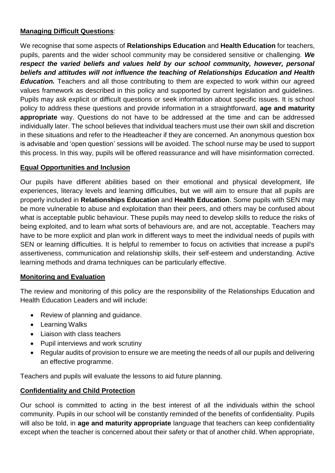# **Managing Difficult Questions**:

We recognise that some aspects of **Relationships Education** and **Health Education** for teachers, pupils, parents and the wider school community may be considered sensitive or challenging. *We respect the varied beliefs and values held by our school community, however, personal beliefs and attitudes will not influence the teaching of Relationships Education and Health Education.* Teachers and all those contributing to them are expected to work within our agreed values framework as described in this policy and supported by current legislation and guidelines. Pupils may ask explicit or difficult questions or seek information about specific issues. It is school policy to address these questions and provide information in a straightforward, **age and maturity appropriate** way. Questions do not have to be addressed at the time and can be addressed individually later. The school believes that individual teachers must use their own skill and discretion in these situations and refer to the Headteacher if they are concerned. An anonymous question box is advisable and 'open question' sessions will be avoided. The school nurse may be used to support this process. In this way, pupils will be offered reassurance and will have misinformation corrected.

# **Equal Opportunities and Inclusion**

Our pupils have different abilities based on their emotional and physical development, life experiences, literacy levels and learning difficulties, but we will aim to ensure that all pupils are properly included in **Relationships Education** and **Health Education**. Some pupils with SEN may be more vulnerable to abuse and exploitation than their peers, and others may be confused about what is acceptable public behaviour. These pupils may need to develop skills to reduce the risks of being exploited, and to learn what sorts of behaviours are, and are not, acceptable. Teachers may have to be more explicit and plan work in different ways to meet the individual needs of pupils with SEN or learning difficulties. It is helpful to remember to focus on activities that increase a pupil's assertiveness, communication and relationship skills, their self-esteem and understanding. Active learning methods and drama techniques can be particularly effective.

#### **Monitoring and Evaluation**

The review and monitoring of this policy are the responsibility of the Relationships Education and Health Education Leaders and will include:

- Review of planning and guidance.
- Learning Walks
- Liaison with class teachers
- Pupil interviews and work scrutiny
- Regular audits of provision to ensure we are meeting the needs of all our pupils and delivering an effective programme.

Teachers and pupils will evaluate the lessons to aid future planning.

#### **Confidentiality and Child Protection**

Our school is committed to acting in the best interest of all the individuals within the school community. Pupils in our school will be constantly reminded of the benefits of confidentiality. Pupils will also be told, in **age and maturity appropriate** language that teachers can keep confidentiality except when the teacher is concerned about their safety or that of another child. When appropriate,